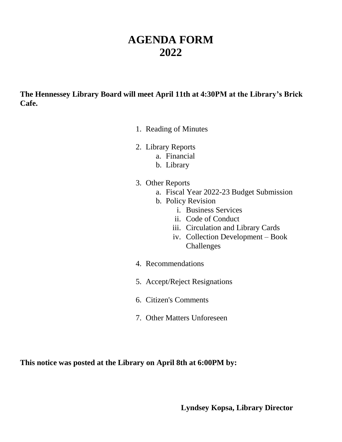# **AGENDA FORM 2022**

**The Hennessey Library Board will meet April 11th at 4:30PM at the Library's Brick Cafe.**

- 1. Reading of Minutes
- 2. Library Reports
	- a. Financial
	- b. Library
- 3. Other Reports
	- a. Fiscal Year 2022-23 Budget Submission
	- b. Policy Revision
		- i. Business Services
		- ii. Code of Conduct
		- iii. Circulation and Library Cards
		- iv. Collection Development Book Challenges
- 4. Recommendations
- 5. Accept/Reject Resignations
- 6. Citizen's Comments
- 7. Other Matters Unforeseen

**This notice was posted at the Library on April 8th at 6:00PM by:**

**Lyndsey Kopsa, Library Director**